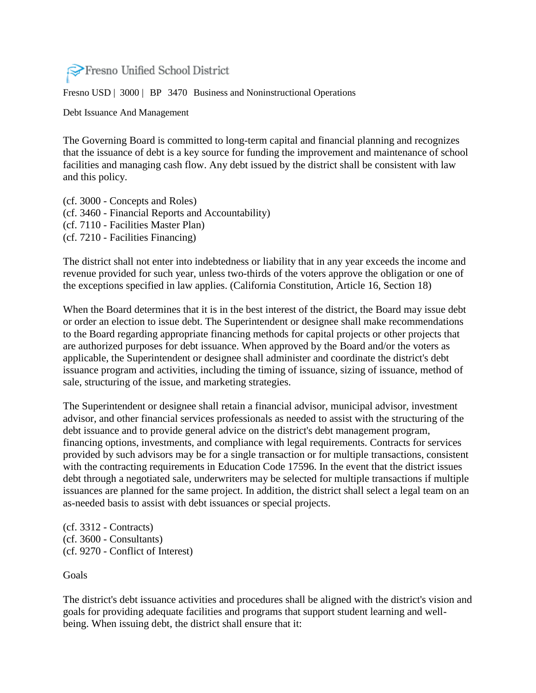

Fresno USD | 3000 | BP 3470 Business and Noninstructional Operations

Debt Issuance And Management

The Governing Board is committed to long-term capital and financial planning and recognizes that the issuance of debt is a key source for funding the improvement and maintenance of school facilities and managing cash flow. Any debt issued by the district shall be consistent with law and this policy.

(cf. 3000 - Concepts and Roles) (cf. 3460 - Financial Reports and Accountability) (cf. 7110 - Facilities Master Plan) (cf. 7210 - Facilities Financing)

The district shall not enter into indebtedness or liability that in any year exceeds the income and revenue provided for such year, unless two-thirds of the voters approve the obligation or one of the exceptions specified in law applies. (California Constitution, Article 16, Section 18)

When the Board determines that it is in the best interest of the district, the Board may issue debt or order an election to issue debt. The Superintendent or designee shall make recommendations to the Board regarding appropriate financing methods for capital projects or other projects that are authorized purposes for debt issuance. When approved by the Board and/or the voters as applicable, the Superintendent or designee shall administer and coordinate the district's debt issuance program and activities, including the timing of issuance, sizing of issuance, method of sale, structuring of the issue, and marketing strategies.

The Superintendent or designee shall retain a financial advisor, municipal advisor, investment advisor, and other financial services professionals as needed to assist with the structuring of the debt issuance and to provide general advice on the district's debt management program, financing options, investments, and compliance with legal requirements. Contracts for services provided by such advisors may be for a single transaction or for multiple transactions, consistent with the contracting requirements in Education Code 17596. In the event that the district issues debt through a negotiated sale, underwriters may be selected for multiple transactions if multiple issuances are planned for the same project. In addition, the district shall select a legal team on an as-needed basis to assist with debt issuances or special projects.

(cf. 3312 - Contracts) (cf. 3600 - Consultants) (cf. 9270 - Conflict of Interest)

Goals

The district's debt issuance activities and procedures shall be aligned with the district's vision and goals for providing adequate facilities and programs that support student learning and wellbeing. When issuing debt, the district shall ensure that it: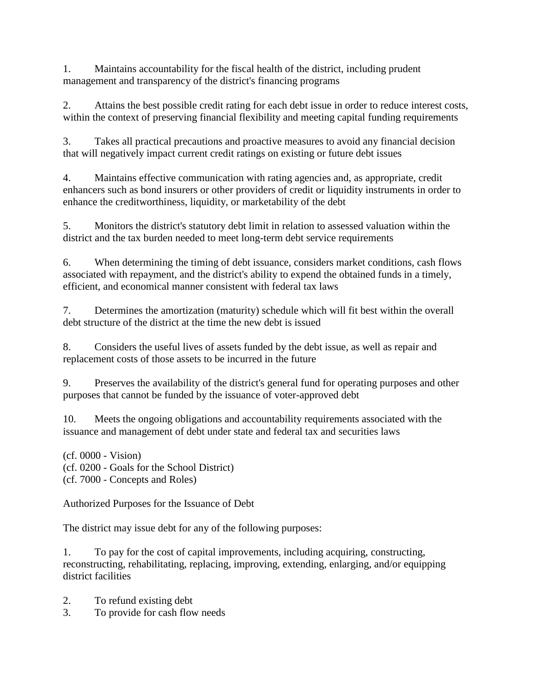1. Maintains accountability for the fiscal health of the district, including prudent management and transparency of the district's financing programs

2. Attains the best possible credit rating for each debt issue in order to reduce interest costs, within the context of preserving financial flexibility and meeting capital funding requirements

3. Takes all practical precautions and proactive measures to avoid any financial decision that will negatively impact current credit ratings on existing or future debt issues

4. Maintains effective communication with rating agencies and, as appropriate, credit enhancers such as bond insurers or other providers of credit or liquidity instruments in order to enhance the creditworthiness, liquidity, or marketability of the debt

5. Monitors the district's statutory debt limit in relation to assessed valuation within the district and the tax burden needed to meet long-term debt service requirements

6. When determining the timing of debt issuance, considers market conditions, cash flows associated with repayment, and the district's ability to expend the obtained funds in a timely, efficient, and economical manner consistent with federal tax laws

7. Determines the amortization (maturity) schedule which will fit best within the overall debt structure of the district at the time the new debt is issued

8. Considers the useful lives of assets funded by the debt issue, as well as repair and replacement costs of those assets to be incurred in the future

9. Preserves the availability of the district's general fund for operating purposes and other purposes that cannot be funded by the issuance of voter-approved debt

10. Meets the ongoing obligations and accountability requirements associated with the issuance and management of debt under state and federal tax and securities laws

(cf. 0000 - Vision) (cf. 0200 - Goals for the School District) (cf. 7000 - Concepts and Roles)

Authorized Purposes for the Issuance of Debt

The district may issue debt for any of the following purposes:

1. To pay for the cost of capital improvements, including acquiring, constructing, reconstructing, rehabilitating, replacing, improving, extending, enlarging, and/or equipping district facilities

- 2. To refund existing debt
- 3. To provide for cash flow needs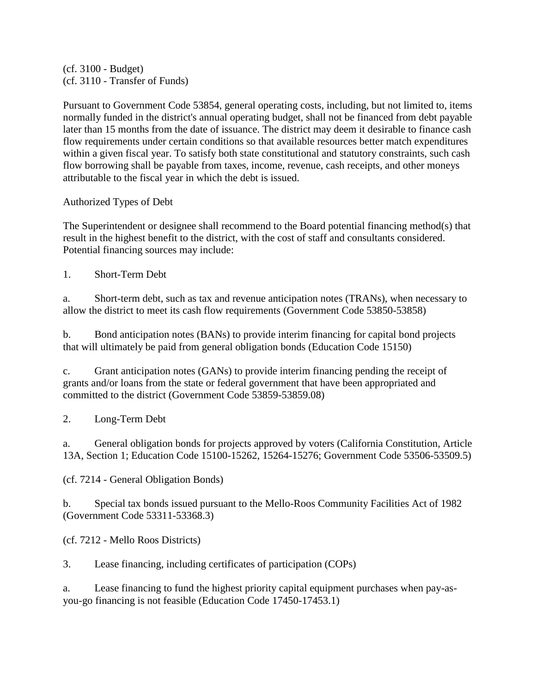(cf. 3100 - Budget) (cf. 3110 - Transfer of Funds)

Pursuant to Government Code 53854, general operating costs, including, but not limited to, items normally funded in the district's annual operating budget, shall not be financed from debt payable later than 15 months from the date of issuance. The district may deem it desirable to finance cash flow requirements under certain conditions so that available resources better match expenditures within a given fiscal year. To satisfy both state constitutional and statutory constraints, such cash flow borrowing shall be payable from taxes, income, revenue, cash receipts, and other moneys attributable to the fiscal year in which the debt is issued.

Authorized Types of Debt

The Superintendent or designee shall recommend to the Board potential financing method(s) that result in the highest benefit to the district, with the cost of staff and consultants considered. Potential financing sources may include:

1. Short-Term Debt

a. Short-term debt, such as tax and revenue anticipation notes (TRANs), when necessary to allow the district to meet its cash flow requirements (Government Code 53850-53858)

b. Bond anticipation notes (BANs) to provide interim financing for capital bond projects that will ultimately be paid from general obligation bonds (Education Code 15150)

c. Grant anticipation notes (GANs) to provide interim financing pending the receipt of grants and/or loans from the state or federal government that have been appropriated and committed to the district (Government Code 53859-53859.08)

2. Long-Term Debt

a. General obligation bonds for projects approved by voters (California Constitution, Article 13A, Section 1; Education Code 15100-15262, 15264-15276; Government Code 53506-53509.5)

(cf. 7214 - General Obligation Bonds)

b. Special tax bonds issued pursuant to the Mello-Roos Community Facilities Act of 1982 (Government Code 53311-53368.3)

(cf. 7212 - Mello Roos Districts)

3. Lease financing, including certificates of participation (COPs)

a. Lease financing to fund the highest priority capital equipment purchases when pay-asyou-go financing is not feasible (Education Code 17450-17453.1)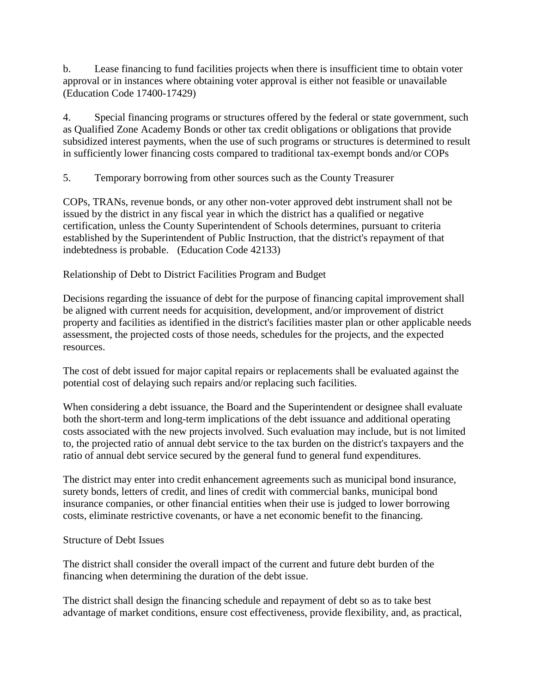b. Lease financing to fund facilities projects when there is insufficient time to obtain voter approval or in instances where obtaining voter approval is either not feasible or unavailable (Education Code 17400-17429)

4. Special financing programs or structures offered by the federal or state government, such as Qualified Zone Academy Bonds or other tax credit obligations or obligations that provide subsidized interest payments, when the use of such programs or structures is determined to result in sufficiently lower financing costs compared to traditional tax-exempt bonds and/or COPs

5. Temporary borrowing from other sources such as the County Treasurer

COPs, TRANs, revenue bonds, or any other non-voter approved debt instrument shall not be issued by the district in any fiscal year in which the district has a qualified or negative certification, unless the County Superintendent of Schools determines, pursuant to criteria established by the Superintendent of Public Instruction, that the district's repayment of that indebtedness is probable. (Education Code 42133)

Relationship of Debt to District Facilities Program and Budget

Decisions regarding the issuance of debt for the purpose of financing capital improvement shall be aligned with current needs for acquisition, development, and/or improvement of district property and facilities as identified in the district's facilities master plan or other applicable needs assessment, the projected costs of those needs, schedules for the projects, and the expected resources.

The cost of debt issued for major capital repairs or replacements shall be evaluated against the potential cost of delaying such repairs and/or replacing such facilities.

When considering a debt issuance, the Board and the Superintendent or designee shall evaluate both the short-term and long-term implications of the debt issuance and additional operating costs associated with the new projects involved. Such evaluation may include, but is not limited to, the projected ratio of annual debt service to the tax burden on the district's taxpayers and the ratio of annual debt service secured by the general fund to general fund expenditures.

The district may enter into credit enhancement agreements such as municipal bond insurance, surety bonds, letters of credit, and lines of credit with commercial banks, municipal bond insurance companies, or other financial entities when their use is judged to lower borrowing costs, eliminate restrictive covenants, or have a net economic benefit to the financing.

# Structure of Debt Issues

The district shall consider the overall impact of the current and future debt burden of the financing when determining the duration of the debt issue.

The district shall design the financing schedule and repayment of debt so as to take best advantage of market conditions, ensure cost effectiveness, provide flexibility, and, as practical,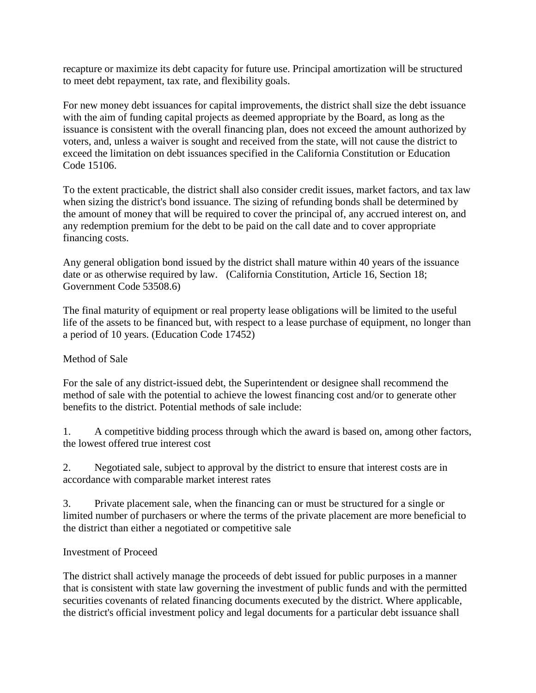recapture or maximize its debt capacity for future use. Principal amortization will be structured to meet debt repayment, tax rate, and flexibility goals.

For new money debt issuances for capital improvements, the district shall size the debt issuance with the aim of funding capital projects as deemed appropriate by the Board, as long as the issuance is consistent with the overall financing plan, does not exceed the amount authorized by voters, and, unless a waiver is sought and received from the state, will not cause the district to exceed the limitation on debt issuances specified in the California Constitution or Education Code 15106.

To the extent practicable, the district shall also consider credit issues, market factors, and tax law when sizing the district's bond issuance. The sizing of refunding bonds shall be determined by the amount of money that will be required to cover the principal of, any accrued interest on, and any redemption premium for the debt to be paid on the call date and to cover appropriate financing costs.

Any general obligation bond issued by the district shall mature within 40 years of the issuance date or as otherwise required by law. (California Constitution, Article 16, Section 18; Government Code 53508.6)

The final maturity of equipment or real property lease obligations will be limited to the useful life of the assets to be financed but, with respect to a lease purchase of equipment, no longer than a period of 10 years. (Education Code 17452)

# Method of Sale

For the sale of any district-issued debt, the Superintendent or designee shall recommend the method of sale with the potential to achieve the lowest financing cost and/or to generate other benefits to the district. Potential methods of sale include:

1. A competitive bidding process through which the award is based on, among other factors, the lowest offered true interest cost

2. Negotiated sale, subject to approval by the district to ensure that interest costs are in accordance with comparable market interest rates

3. Private placement sale, when the financing can or must be structured for a single or limited number of purchasers or where the terms of the private placement are more beneficial to the district than either a negotiated or competitive sale

# Investment of Proceed

The district shall actively manage the proceeds of debt issued for public purposes in a manner that is consistent with state law governing the investment of public funds and with the permitted securities covenants of related financing documents executed by the district. Where applicable, the district's official investment policy and legal documents for a particular debt issuance shall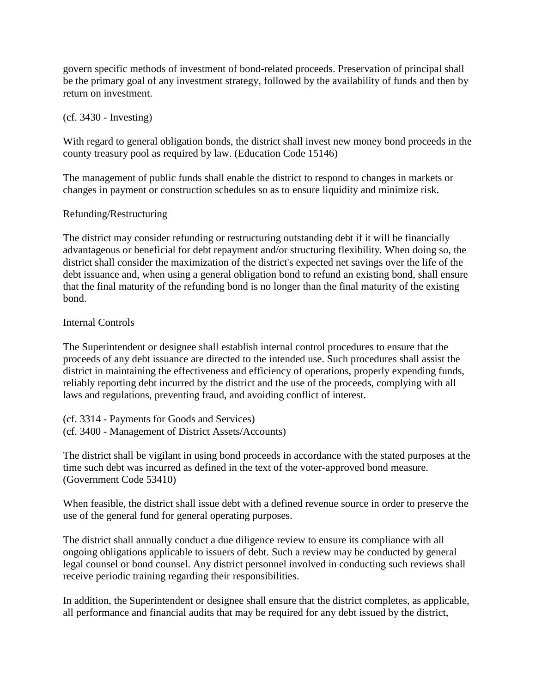govern specific methods of investment of bond-related proceeds. Preservation of principal shall be the primary goal of any investment strategy, followed by the availability of funds and then by return on investment.

## (cf. 3430 - Investing)

With regard to general obligation bonds, the district shall invest new money bond proceeds in the county treasury pool as required by law. (Education Code 15146)

The management of public funds shall enable the district to respond to changes in markets or changes in payment or construction schedules so as to ensure liquidity and minimize risk.

## Refunding/Restructuring

The district may consider refunding or restructuring outstanding debt if it will be financially advantageous or beneficial for debt repayment and/or structuring flexibility. When doing so, the district shall consider the maximization of the district's expected net savings over the life of the debt issuance and, when using a general obligation bond to refund an existing bond, shall ensure that the final maturity of the refunding bond is no longer than the final maturity of the existing bond.

## Internal Controls

The Superintendent or designee shall establish internal control procedures to ensure that the proceeds of any debt issuance are directed to the intended use. Such procedures shall assist the district in maintaining the effectiveness and efficiency of operations, properly expending funds, reliably reporting debt incurred by the district and the use of the proceeds, complying with all laws and regulations, preventing fraud, and avoiding conflict of interest.

(cf. 3314 - Payments for Goods and Services) (cf. 3400 - Management of District Assets/Accounts)

The district shall be vigilant in using bond proceeds in accordance with the stated purposes at the time such debt was incurred as defined in the text of the voter-approved bond measure. (Government Code 53410)

When feasible, the district shall issue debt with a defined revenue source in order to preserve the use of the general fund for general operating purposes.

The district shall annually conduct a due diligence review to ensure its compliance with all ongoing obligations applicable to issuers of debt. Such a review may be conducted by general legal counsel or bond counsel. Any district personnel involved in conducting such reviews shall receive periodic training regarding their responsibilities.

In addition, the Superintendent or designee shall ensure that the district completes, as applicable, all performance and financial audits that may be required for any debt issued by the district,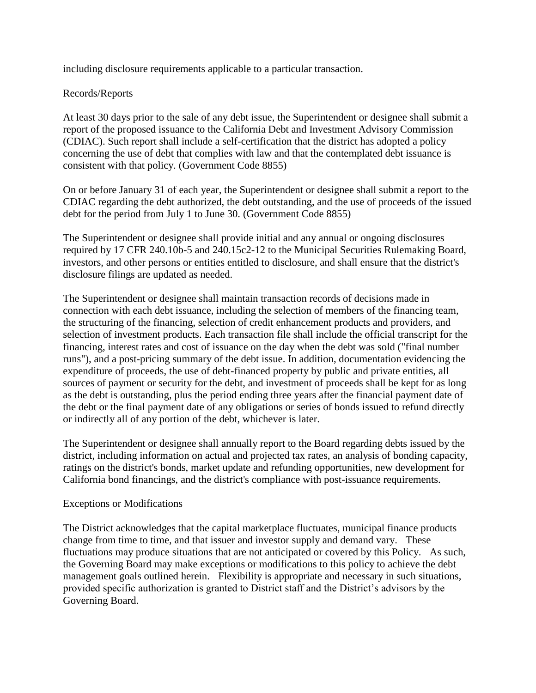including disclosure requirements applicable to a particular transaction.

## Records/Reports

At least 30 days prior to the sale of any debt issue, the Superintendent or designee shall submit a report of the proposed issuance to the California Debt and Investment Advisory Commission (CDIAC). Such report shall include a self-certification that the district has adopted a policy concerning the use of debt that complies with law and that the contemplated debt issuance is consistent with that policy. (Government Code 8855)

On or before January 31 of each year, the Superintendent or designee shall submit a report to the CDIAC regarding the debt authorized, the debt outstanding, and the use of proceeds of the issued debt for the period from July 1 to June 30. (Government Code 8855)

The Superintendent or designee shall provide initial and any annual or ongoing disclosures required by 17 CFR 240.10b-5 and 240.15c2-12 to the Municipal Securities Rulemaking Board, investors, and other persons or entities entitled to disclosure, and shall ensure that the district's disclosure filings are updated as needed.

The Superintendent or designee shall maintain transaction records of decisions made in connection with each debt issuance, including the selection of members of the financing team, the structuring of the financing, selection of credit enhancement products and providers, and selection of investment products. Each transaction file shall include the official transcript for the financing, interest rates and cost of issuance on the day when the debt was sold ("final number runs"), and a post-pricing summary of the debt issue. In addition, documentation evidencing the expenditure of proceeds, the use of debt-financed property by public and private entities, all sources of payment or security for the debt, and investment of proceeds shall be kept for as long as the debt is outstanding, plus the period ending three years after the financial payment date of the debt or the final payment date of any obligations or series of bonds issued to refund directly or indirectly all of any portion of the debt, whichever is later.

The Superintendent or designee shall annually report to the Board regarding debts issued by the district, including information on actual and projected tax rates, an analysis of bonding capacity, ratings on the district's bonds, market update and refunding opportunities, new development for California bond financings, and the district's compliance with post-issuance requirements.

#### Exceptions or Modifications

The District acknowledges that the capital marketplace fluctuates, municipal finance products change from time to time, and that issuer and investor supply and demand vary. These fluctuations may produce situations that are not anticipated or covered by this Policy. As such, the Governing Board may make exceptions or modifications to this policy to achieve the debt management goals outlined herein. Flexibility is appropriate and necessary in such situations, provided specific authorization is granted to District staff and the District's advisors by the Governing Board.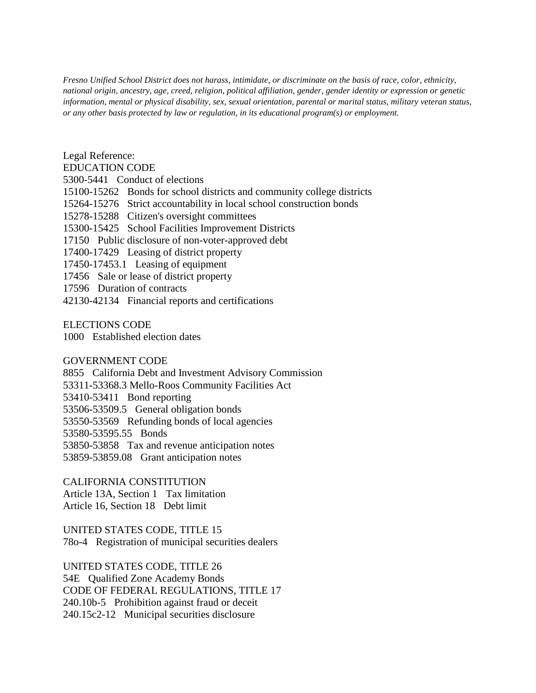*Fresno Unified School District does not harass, intimidate, or discriminate on the basis of race, color, ethnicity, national origin, ancestry, age, creed, religion, political affiliation, gender, gender identity or expression or genetic information, mental or physical disability, sex, sexual orientation, parental or marital status, military veteran status, or any other basis protected by law or regulation, in its educational program(s) or employment.*

Legal Reference:

#### EDUCATION CODE

5300-5441 Conduct of elections

15100-15262 Bonds for school districts and community college districts

15264-15276 Strict accountability in local school construction bonds

15278-15288 Citizen's oversight committees

15300-15425 School Facilities Improvement Districts

17150 Public disclosure of non-voter-approved debt

17400-17429 Leasing of district property

17450-17453.1 Leasing of equipment

17456 Sale or lease of district property

17596 Duration of contracts

42130-42134 Financial reports and certifications

ELECTIONS CODE

1000 Established election dates

#### GOVERNMENT CODE

8855 California Debt and Investment Advisory Commission 53311-53368.3 Mello-Roos Community Facilities Act 53410-53411 Bond reporting 53506-53509.5 General obligation bonds 53550-53569 Refunding bonds of local agencies 53580-53595.55 Bonds 53850-53858 Tax and revenue anticipation notes 53859-53859.08 Grant anticipation notes

CALIFORNIA CONSTITUTION

Article 13A, Section 1 Tax limitation Article 16, Section 18 Debt limit

UNITED STATES CODE, TITLE 15 78o-4 Registration of municipal securities dealers

UNITED STATES CODE, TITLE 26 54E Qualified Zone Academy Bonds CODE OF FEDERAL REGULATIONS, TITLE 17 240.10b-5 Prohibition against fraud or deceit 240.15c2-12 Municipal securities disclosure